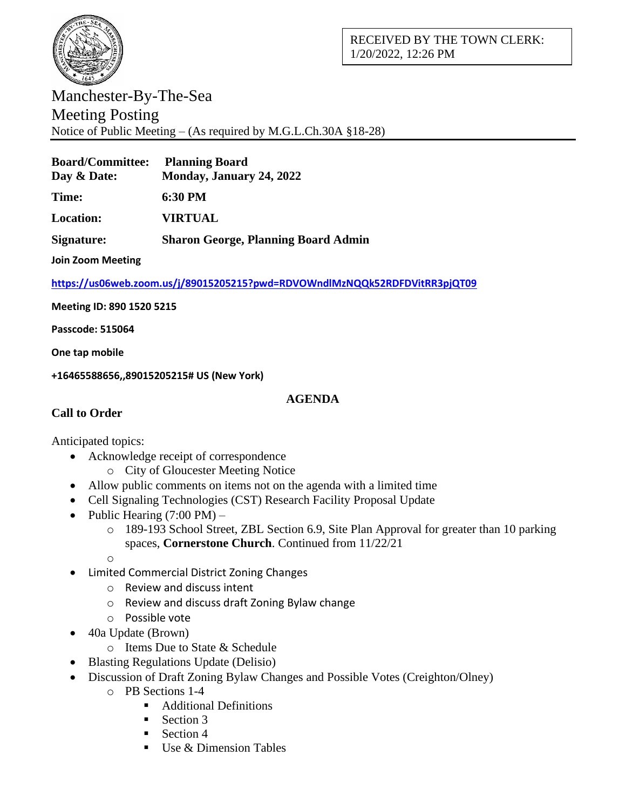

## Manchester-By-The-Sea Meeting Posting Notice of Public Meeting – (As required by M.G.L.Ch.30A §18-28)

| <b>Board/Committee:</b> Planning Board<br>Day & Date: | Monday, January 24, 2022 |
|-------------------------------------------------------|--------------------------|
| <b>Time:</b>                                          | 6:30 PM                  |
| <b>Location:</b>                                      | <b>VIRTUAL</b>           |

**Signature: Sharon George, Planning Board Admin**

**Join Zoom Meeting**

**<https://us06web.zoom.us/j/89015205215?pwd=RDVOWndlMzNQQk52RDFDVitRR3pjQT09>**

**Meeting ID: 890 1520 5215**

**Passcode: 515064**

**One tap mobile**

**+16465588656,,89015205215# US (New York)**

## **AGENDA**

## **Call to Order**

Anticipated topics:

- Acknowledge receipt of correspondence
	- o City of Gloucester Meeting Notice
- Allow public comments on items not on the agenda with a limited time
- Cell Signaling Technologies (CST) Research Facility Proposal Update
- Public Hearing  $(7:00 \text{ PM})$ 
	- o 189-193 School Street, ZBL Section 6.9, Site Plan Approval for greater than 10 parking spaces, **Cornerstone Church**. Continued from 11/22/21

o

- Limited Commercial District Zoning Changes
	- o Review and discuss intent
	- o Review and discuss draft Zoning Bylaw change
	- o Possible vote
	- 40a Update (Brown)
		- o Items Due to State & Schedule
- Blasting Regulations Update (Delisio)
- Discussion of Draft Zoning Bylaw Changes and Possible Votes (Creighton/Olney)
	- o PB Sections 1-4
		- Additional Definitions
		- $\blacksquare$  Section 3
		- $\blacksquare$  Section 4
		- Use  $&$  Dimension Tables